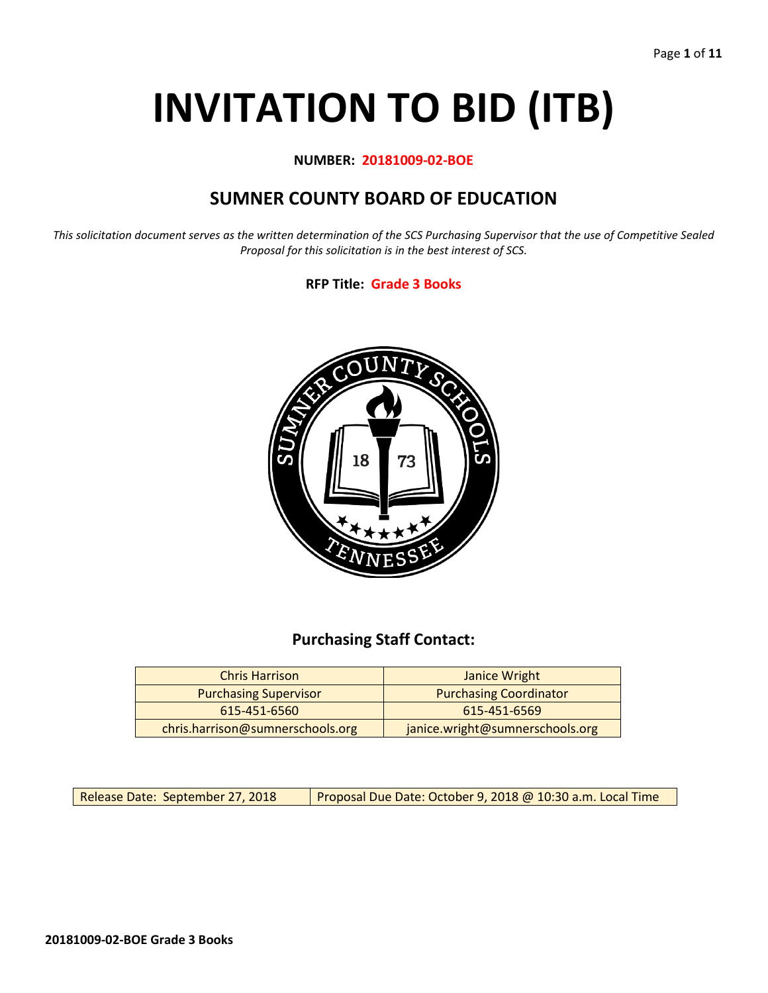# **INVITATION TO BID (ITB)**

**NUMBER: 20181009-02-BOE**

# **SUMNER COUNTY BOARD OF EDUCATION**

*This solicitation document serves as the written determination of the SCS Purchasing Supervisor that the use of Competitive Sealed Proposal for this solicitation is in the best interest of SCS.*

**RFP Title: Grade 3 Books**



## **Purchasing Staff Contact:**

| <b>Chris Harrison</b>            | Janice Wright                   |  |  |
|----------------------------------|---------------------------------|--|--|
| <b>Purchasing Supervisor</b>     | <b>Purchasing Coordinator</b>   |  |  |
| 615-451-6569<br>615-451-6560     |                                 |  |  |
| chris.harrison@sumnerschools.org | janice.wright@sumnerschools.org |  |  |

Release Date: September 27, 2018 | Proposal Due Date: October 9, 2018 @ 10:30 a.m. Local Time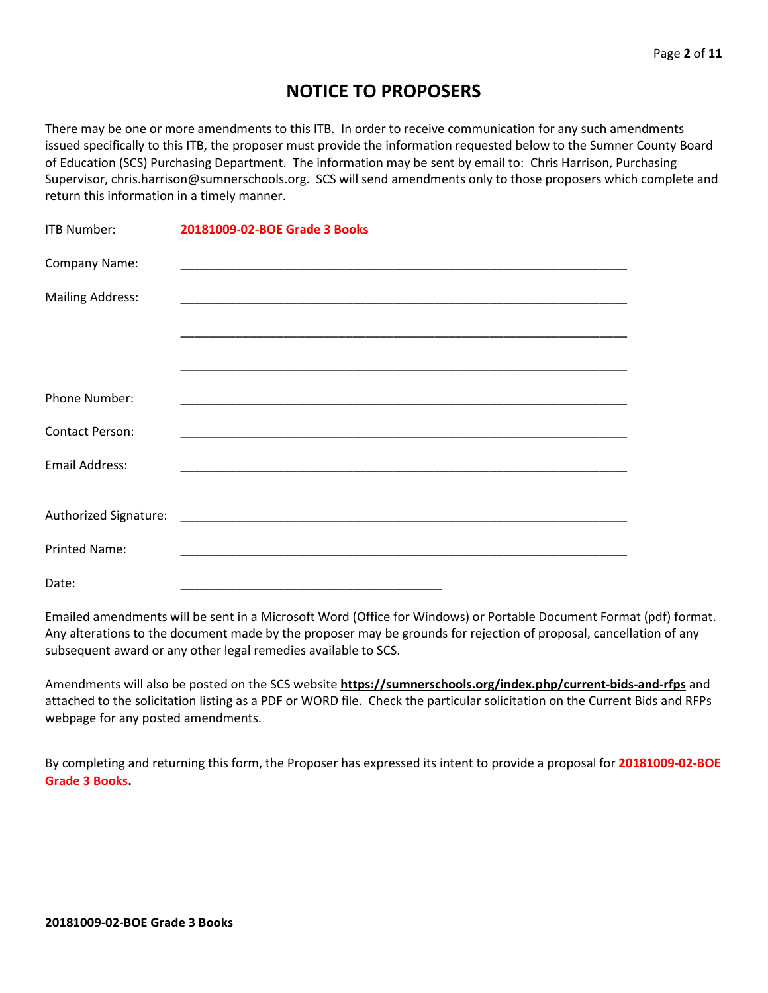# **NOTICE TO PROPOSERS**

There may be one or more amendments to this ITB. In order to receive communication for any such amendments issued specifically to this ITB, the proposer must provide the information requested below to the Sumner County Board of Education (SCS) Purchasing Department. The information may be sent by email to: Chris Harrison, Purchasing Supervisor, chris.harrison@sumnerschools.org. SCS will send amendments only to those proposers which complete and return this information in a timely manner.

| ITB Number:             | 20181009-02-BOE Grade 3 Books |
|-------------------------|-------------------------------|
| Company Name:           |                               |
| <b>Mailing Address:</b> |                               |
|                         |                               |
|                         |                               |
| Phone Number:           |                               |
| <b>Contact Person:</b>  |                               |
| <b>Email Address:</b>   |                               |
|                         |                               |
|                         |                               |
| <b>Printed Name:</b>    |                               |
| Date:                   |                               |

Emailed amendments will be sent in a Microsoft Word (Office for Windows) or Portable Document Format (pdf) format. Any alterations to the document made by the proposer may be grounds for rejection of proposal, cancellation of any subsequent award or any other legal remedies available to SCS.

Amendments will also be posted on the SCS website **https://sumnerschools.org/index.php/current-bids-and-rfps** and attached to the solicitation listing as a PDF or WORD file. Check the particular solicitation on the Current Bids and RFPs webpage for any posted amendments.

By completing and returning this form, the Proposer has expressed its intent to provide a proposal for **20181009-02-BOE Grade 3 Books.**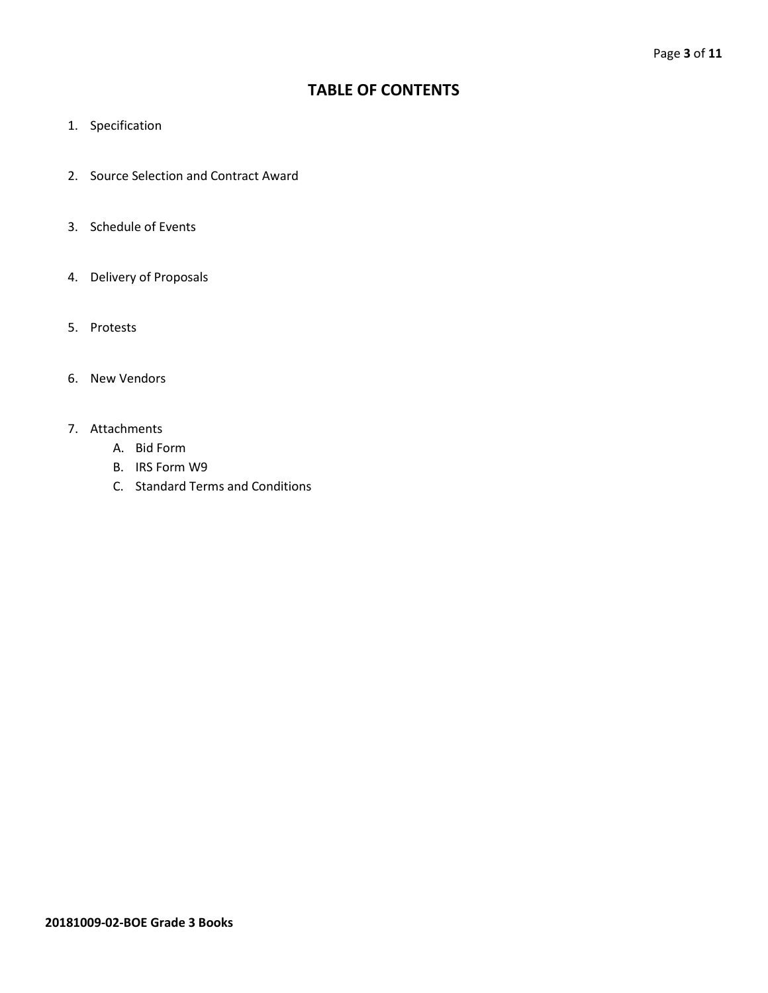## **TABLE OF CONTENTS**

- 1. Specification
- 2. Source Selection and Contract Award
- 3. Schedule of Events
- 4. Delivery of Proposals
- 5. Protests
- 6. New Vendors
- 7. Attachments
	- A. Bid Form
	- B. IRS Form W9
	- C. Standard Terms and Conditions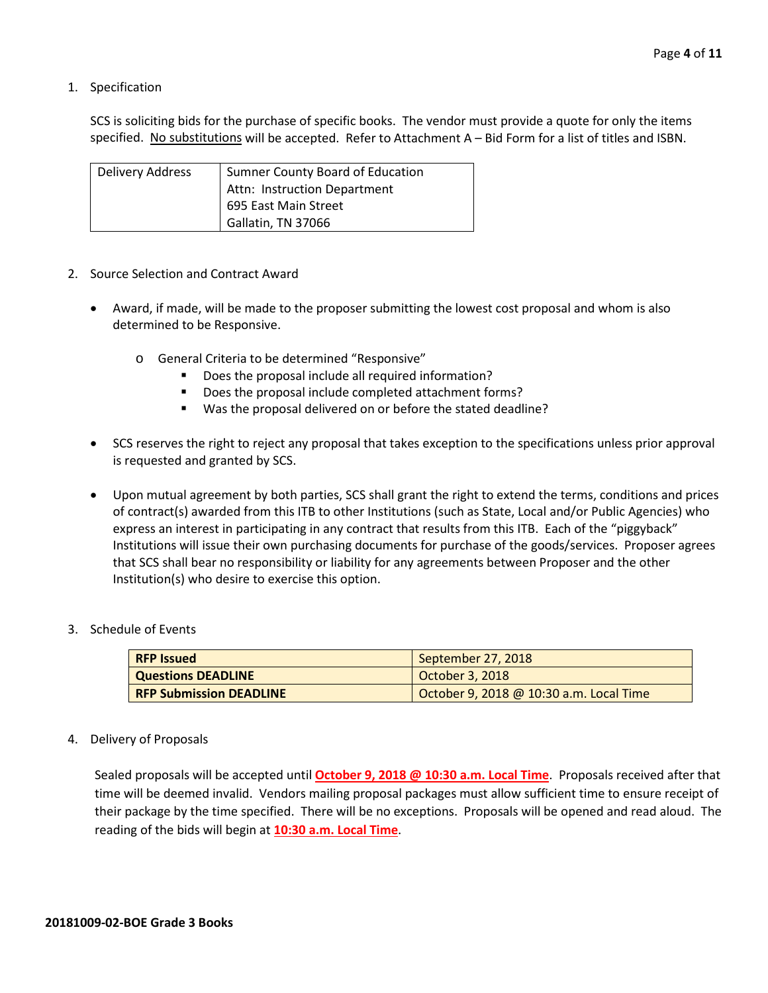1. Specification

SCS is soliciting bids for the purchase of specific books. The vendor must provide a quote for only the items specified. No substitutions will be accepted. Refer to Attachment A – Bid Form for a list of titles and ISBN.

| Delivery Address | Sumner County Board of Education |
|------------------|----------------------------------|
|                  | Attn: Instruction Department     |
|                  | 695 East Main Street             |
|                  | Gallatin, TN 37066               |

- 2. Source Selection and Contract Award
	- Award, if made, will be made to the proposer submitting the lowest cost proposal and whom is also determined to be Responsive.
		- o General Criteria to be determined "Responsive"
			- Does the proposal include all required information?
			- Does the proposal include completed attachment forms?
			- Was the proposal delivered on or before the stated deadline?
	- SCS reserves the right to reject any proposal that takes exception to the specifications unless prior approval is requested and granted by SCS.
	- Upon mutual agreement by both parties, SCS shall grant the right to extend the terms, conditions and prices of contract(s) awarded from this ITB to other Institutions (such as State, Local and/or Public Agencies) who express an interest in participating in any contract that results from this ITB. Each of the "piggyback" Institutions will issue their own purchasing documents for purchase of the goods/services. Proposer agrees that SCS shall bear no responsibility or liability for any agreements between Proposer and the other Institution(s) who desire to exercise this option.
- 3. Schedule of Events

| <b>RFP Issued</b>              | September 27, 2018                      |
|--------------------------------|-----------------------------------------|
| <b>Questions DEADLINE</b>      | October 3, 2018                         |
| <b>RFP Submission DEADLINE</b> | October 9, 2018 @ 10:30 a.m. Local Time |

4. Delivery of Proposals

Sealed proposals will be accepted until **October 9, 2018 @ 10:30 a.m. Local Time**. Proposals received after that time will be deemed invalid. Vendors mailing proposal packages must allow sufficient time to ensure receipt of their package by the time specified. There will be no exceptions. Proposals will be opened and read aloud. The reading of the bids will begin at **10:30 a.m. Local Time**.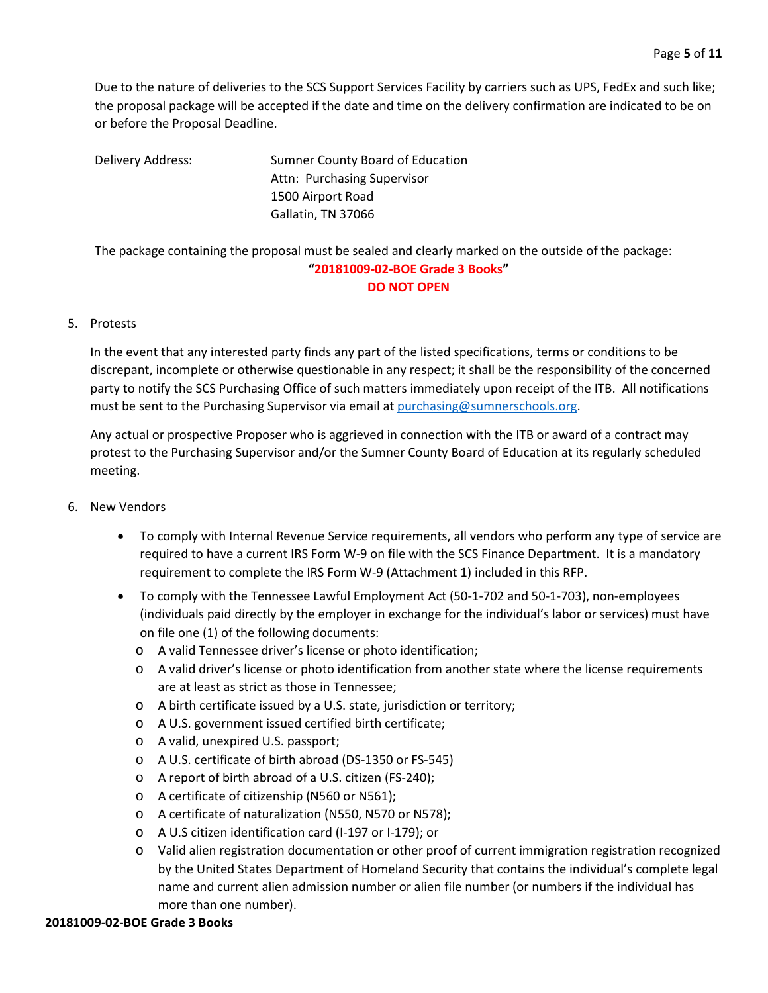Due to the nature of deliveries to the SCS Support Services Facility by carriers such as UPS, FedEx and such like; the proposal package will be accepted if the date and time on the delivery confirmation are indicated to be on or before the Proposal Deadline.

Delivery Address: Sumner County Board of Education Attn: Purchasing Supervisor 1500 Airport Road Gallatin, TN 37066

The package containing the proposal must be sealed and clearly marked on the outside of the package: **"20181009-02-BOE Grade 3 Books" DO NOT OPEN**

### 5. Protests

In the event that any interested party finds any part of the listed specifications, terms or conditions to be discrepant, incomplete or otherwise questionable in any respect; it shall be the responsibility of the concerned party to notify the SCS Purchasing Office of such matters immediately upon receipt of the ITB. All notifications must be sent to the Purchasing Supervisor via email at [purchasing@sumnerschools.org.](mailto:purchasing@sumnerschools.org)

Any actual or prospective Proposer who is aggrieved in connection with the ITB or award of a contract may protest to the Purchasing Supervisor and/or the Sumner County Board of Education at its regularly scheduled meeting.

- 6. New Vendors
	- To comply with Internal Revenue Service requirements, all vendors who perform any type of service are required to have a current IRS Form W-9 on file with the SCS Finance Department. It is a mandatory requirement to complete the IRS Form W-9 (Attachment 1) included in this RFP.
	- To comply with the Tennessee Lawful Employment Act (50-1-702 and 50-1-703), non-employees (individuals paid directly by the employer in exchange for the individual's labor or services) must have on file one (1) of the following documents:
		- o A valid Tennessee driver's license or photo identification;
		- o A valid driver's license or photo identification from another state where the license requirements are at least as strict as those in Tennessee;
		- o A birth certificate issued by a U.S. state, jurisdiction or territory;
		- o A U.S. government issued certified birth certificate;
		- o A valid, unexpired U.S. passport;
		- o A U.S. certificate of birth abroad (DS-1350 or FS-545)
		- o A report of birth abroad of a U.S. citizen (FS-240);
		- o A certificate of citizenship (N560 or N561);
		- o A certificate of naturalization (N550, N570 or N578);
		- o A U.S citizen identification card (I-197 or I-179); or
		- o Valid alien registration documentation or other proof of current immigration registration recognized by the United States Department of Homeland Security that contains the individual's complete legal name and current alien admission number or alien file number (or numbers if the individual has more than one number).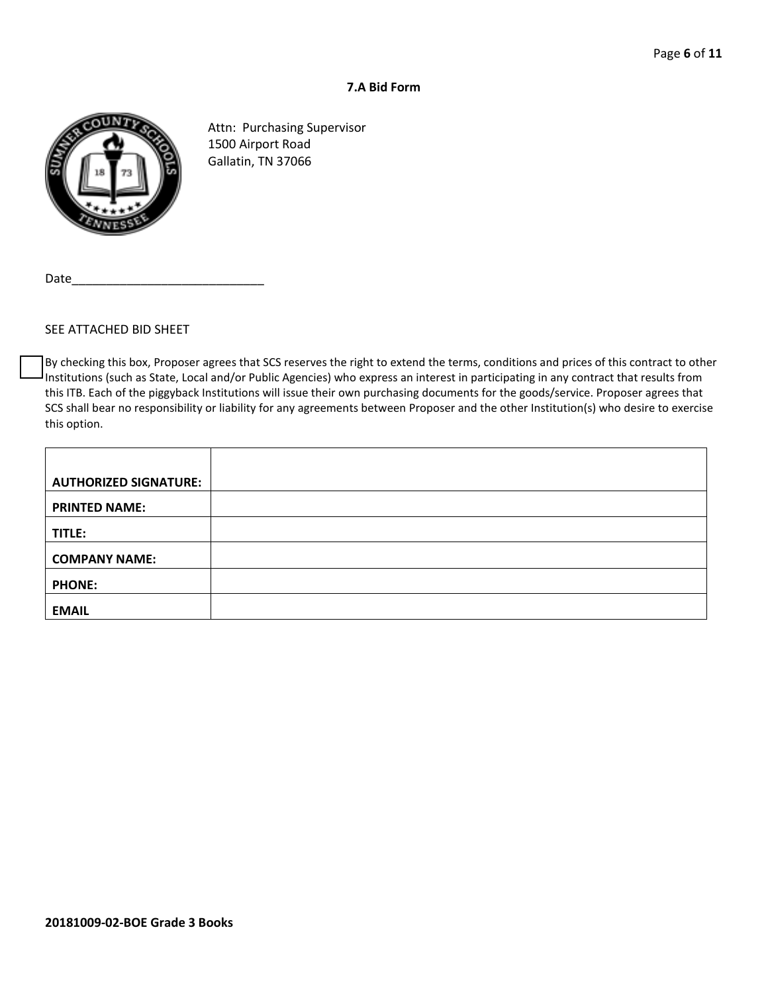### **7.A Bid Form**



Attn: Purchasing Supervisor 1500 Airport Road Gallatin, TN 37066

Date

#### SEE ATTACHED BID SHEET

By checking this box, Proposer agrees that SCS reserves the right to extend the terms, conditions and prices of this contract to other Institutions (such as State, Local and/or Public Agencies) who express an interest in participating in any contract that results from this ITB. Each of the piggyback Institutions will issue their own purchasing documents for the goods/service. Proposer agrees that SCS shall bear no responsibility or liability for any agreements between Proposer and the other Institution(s) who desire to exercise this option.

| <b>AUTHORIZED SIGNATURE:</b> |  |
|------------------------------|--|
| <b>PRINTED NAME:</b>         |  |
| TITLE:                       |  |
| <b>COMPANY NAME:</b>         |  |
| <b>PHONE:</b>                |  |
| <b>EMAIL</b>                 |  |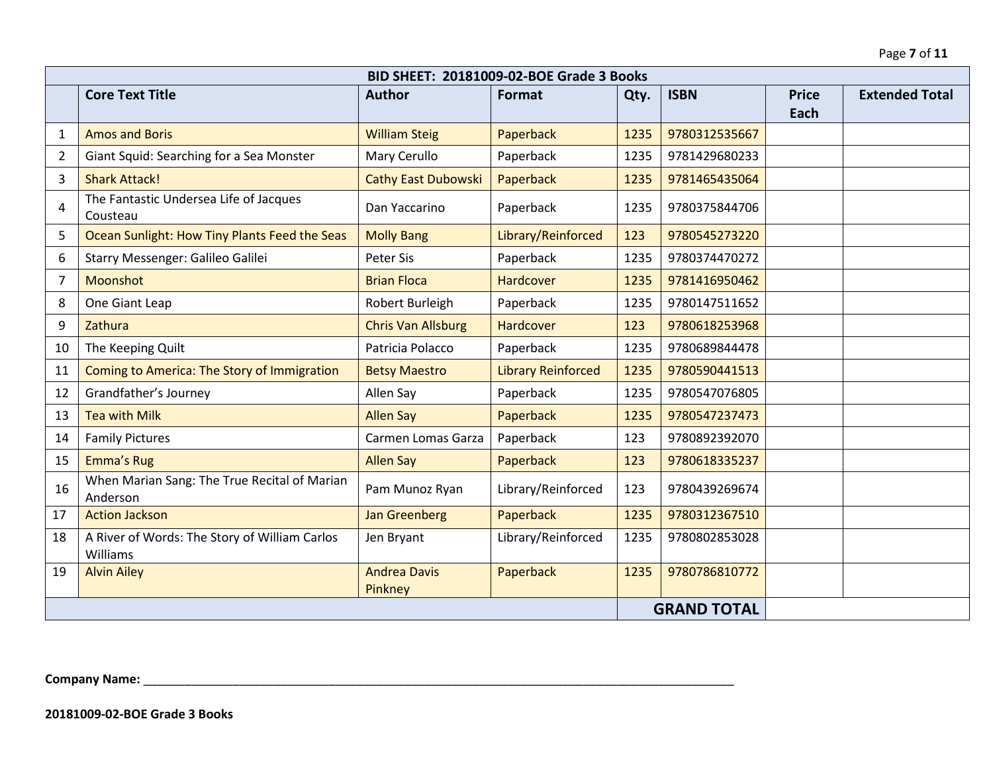|                    | BID SHEET: 20181009-02-BOE Grade 3 Books                  |                                |                           |      |               |                      |                       |
|--------------------|-----------------------------------------------------------|--------------------------------|---------------------------|------|---------------|----------------------|-----------------------|
|                    | <b>Core Text Title</b>                                    | <b>Author</b>                  | Format                    | Qty. | <b>ISBN</b>   | <b>Price</b><br>Each | <b>Extended Total</b> |
| 1                  | <b>Amos and Boris</b>                                     | <b>William Steig</b>           | Paperback                 | 1235 | 9780312535667 |                      |                       |
| $\overline{2}$     | Giant Squid: Searching for a Sea Monster                  | Mary Cerullo                   | Paperback                 | 1235 | 9781429680233 |                      |                       |
| 3                  | <b>Shark Attack!</b>                                      | <b>Cathy East Dubowski</b>     | Paperback                 | 1235 | 9781465435064 |                      |                       |
| 4                  | The Fantastic Undersea Life of Jacques<br>Cousteau        | Dan Yaccarino                  | Paperback                 | 1235 | 9780375844706 |                      |                       |
| 5                  | Ocean Sunlight: How Tiny Plants Feed the Seas             | <b>Molly Bang</b>              | Library/Reinforced        | 123  | 9780545273220 |                      |                       |
| 6                  | Starry Messenger: Galileo Galilei                         | Peter Sis                      | Paperback                 | 1235 | 9780374470272 |                      |                       |
| $\overline{7}$     | Moonshot                                                  | <b>Brian Floca</b>             | Hardcover                 | 1235 | 9781416950462 |                      |                       |
| 8                  | One Giant Leap                                            | Robert Burleigh                | Paperback                 | 1235 | 9780147511652 |                      |                       |
| 9                  | Zathura                                                   | <b>Chris Van Allsburg</b>      | Hardcover                 | 123  | 9780618253968 |                      |                       |
| 10                 | The Keeping Quilt                                         | Patricia Polacco               | Paperback                 | 1235 | 9780689844478 |                      |                       |
| 11                 | Coming to America: The Story of Immigration               | <b>Betsy Maestro</b>           | <b>Library Reinforced</b> | 1235 | 9780590441513 |                      |                       |
| 12                 | Grandfather's Journey                                     | Allen Say                      | Paperback                 | 1235 | 9780547076805 |                      |                       |
| 13                 | <b>Tea with Milk</b>                                      | <b>Allen Say</b>               | Paperback                 | 1235 | 9780547237473 |                      |                       |
| 14                 | <b>Family Pictures</b>                                    | Carmen Lomas Garza             | Paperback                 | 123  | 9780892392070 |                      |                       |
| 15                 | Emma's Rug                                                | <b>Allen Say</b>               | Paperback                 | 123  | 9780618335237 |                      |                       |
| 16                 | When Marian Sang: The True Recital of Marian<br>Anderson  | Pam Munoz Ryan                 | Library/Reinforced        | 123  | 9780439269674 |                      |                       |
| 17                 | <b>Action Jackson</b>                                     | <b>Jan Greenberg</b>           | Paperback                 | 1235 | 9780312367510 |                      |                       |
| 18                 | A River of Words: The Story of William Carlos<br>Williams | Jen Bryant                     | Library/Reinforced        | 1235 | 9780802853028 |                      |                       |
| 19                 | <b>Alvin Ailey</b>                                        | <b>Andrea Davis</b><br>Pinkney | Paperback                 | 1235 | 9780786810772 |                      |                       |
| <b>GRAND TOTAL</b> |                                                           |                                |                           |      |               |                      |                       |

**Company Name:** \_\_\_\_\_\_\_\_\_\_\_\_\_\_\_\_\_\_\_\_\_\_\_\_\_\_\_\_\_\_\_\_\_\_\_\_\_\_\_\_\_\_\_\_\_\_\_\_\_\_\_\_\_\_\_\_\_\_\_\_\_\_\_\_\_\_\_\_\_\_\_\_\_\_\_\_\_\_\_\_\_\_\_\_\_\_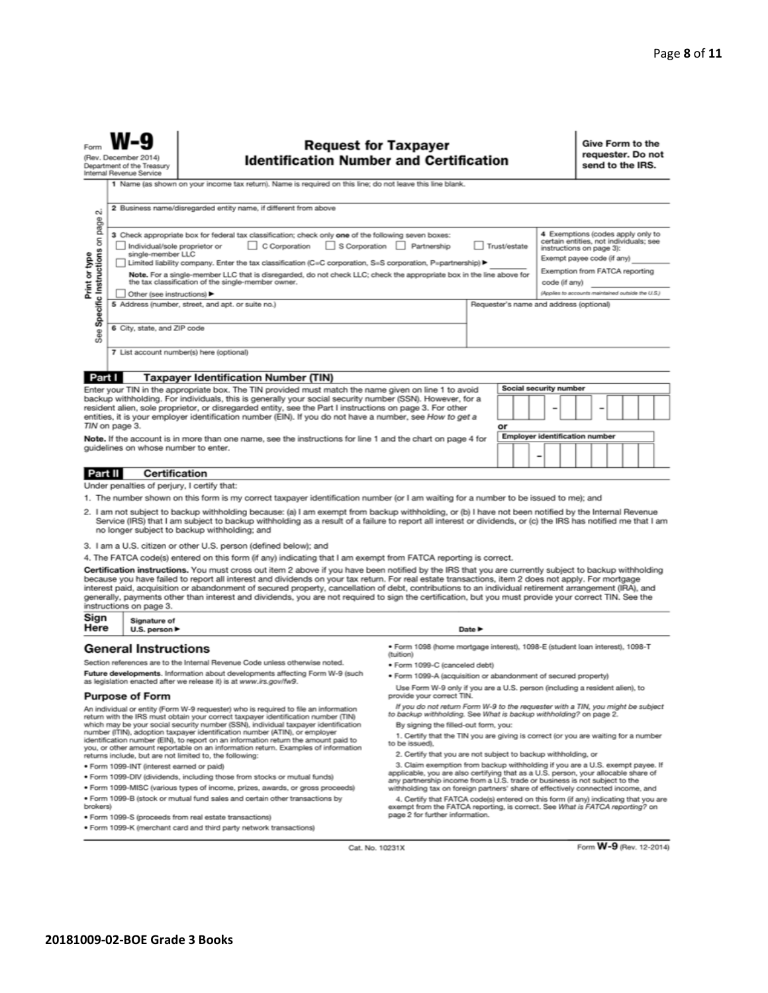|                                                                                                                                                    | <b>Request for Taxpayer</b><br><b>Identification Number and Certification</b><br>(Rev. December 2014)<br>Department of the Treasury<br>Internal Revenue Service                                                                                                                                                                                                                                                                                            |    |                                            |  |  | Give Form to the<br>requester. Do not<br>send to the IRS.                                                                             |  |  |  |
|----------------------------------------------------------------------------------------------------------------------------------------------------|------------------------------------------------------------------------------------------------------------------------------------------------------------------------------------------------------------------------------------------------------------------------------------------------------------------------------------------------------------------------------------------------------------------------------------------------------------|----|--------------------------------------------|--|--|---------------------------------------------------------------------------------------------------------------------------------------|--|--|--|
|                                                                                                                                                    | 1 Name (as shown on your income tax return). Name is required on this line; do not leave this line blank.                                                                                                                                                                                                                                                                                                                                                  |    |                                            |  |  |                                                                                                                                       |  |  |  |
|                                                                                                                                                    | 2 Business name/disregarded entity name, if different from above                                                                                                                                                                                                                                                                                                                                                                                           |    |                                            |  |  |                                                                                                                                       |  |  |  |
| See Specific Instructions on page 2.                                                                                                               | 3 Check appropriate box for federal tax classification; check only one of the following seven boxes:<br>S Corporation<br>C Corporation<br>Partnership<br>Trust/estate<br>Individual/sole proprietor or<br>single-member LLC                                                                                                                                                                                                                                |    |                                            |  |  | 4 Exemptions (codes apply only to<br>certain entities, not individuals; see<br>instructions on page 3):<br>Exempt payee code (if any) |  |  |  |
| Print or type                                                                                                                                      | Limited liability company. Enter the tax classification (C=C corporation, S=S corporation, P=partnership) ▶<br>Note. For a single-member LLC that is disregarded, do not check LLC; check the appropriate box in the line above for<br>the tax classification of the single-member owner.                                                                                                                                                                  |    |                                            |  |  | Exemption from FATCA reporting<br>code (if anv)<br>(Applies to accounts maintained outside the U.S.)                                  |  |  |  |
|                                                                                                                                                    | Other (see instructions) ▶<br>5 Address (number, street, and apt. or suite no.)                                                                                                                                                                                                                                                                                                                                                                            |    | Requester's name and address (optional)    |  |  |                                                                                                                                       |  |  |  |
|                                                                                                                                                    | 6 City, state, and ZIP code<br>7 List account number(s) here (optional)                                                                                                                                                                                                                                                                                                                                                                                    |    |                                            |  |  |                                                                                                                                       |  |  |  |
| Part I                                                                                                                                             | <b>Taxpayer Identification Number (TIN)</b>                                                                                                                                                                                                                                                                                                                                                                                                                |    |                                            |  |  |                                                                                                                                       |  |  |  |
|                                                                                                                                                    | Enter your TIN in the appropriate box. The TIN provided must match the name given on line 1 to avoid<br>backup withholding. For individuals, this is generally your social security number (SSN). However, for a<br>resident alien, sole proprietor, or disregarded entity, see the Part I instructions on page 3. For other<br>entities, it is your employer identification number (EIN). If you do not have a number, see How to get a<br>TIN on page 3. | or | Social security number                     |  |  |                                                                                                                                       |  |  |  |
| Note. If the account is in more than one name, see the instructions for line 1 and the chart on page 4 for<br>quidelines on whose number to enter. |                                                                                                                                                                                                                                                                                                                                                                                                                                                            |    | <b>Employer identification number</b><br>- |  |  |                                                                                                                                       |  |  |  |
| Part II                                                                                                                                            | Certification                                                                                                                                                                                                                                                                                                                                                                                                                                              |    |                                            |  |  |                                                                                                                                       |  |  |  |
|                                                                                                                                                    | Under penalties of perjury, I certify that:<br>1. The number shown on this form is my correct taxpayer identification number (or I am waiting for a number to be issued to me); and                                                                                                                                                                                                                                                                        |    |                                            |  |  |                                                                                                                                       |  |  |  |
|                                                                                                                                                    |                                                                                                                                                                                                                                                                                                                                                                                                                                                            |    |                                            |  |  |                                                                                                                                       |  |  |  |

- 2. I am not subject to backup withholding because: (a) I am exempt from backup withholding, or (b) I have not been notified by the Internal Revenue Service (IRS) that I am subject to backup withholding as a result of a failure to report all interest or dividends, or (c) the IRS has notified me that I am no longer subject to backup withholding; and
- 3. I am a U.S. citizen or other U.S. person (defined below); and
- 4. The FATCA code(s) entered on this form (if any) indicating that I am exempt from FATCA reporting is correct.

Certification instructions. You must cross out item 2 above if you have been notified by the IRS that you are currently subject to backup withholding because you have failed to report all interest and dividends on your tax return. For real estate transactions, item 2 does not apply. For mortgage interest paid, acquisition or abandonment of secured property, cancellation of debt, contributions to an individual retirement arrangement (IRA), and generally, payments other than interest and dividends, you are not required to sign the certification, but you must provide your correct TIN. See the instructions on page 3.

| Sign | Signature of                      |
|------|-----------------------------------|
| Here | U.S. person $\blacktriangleright$ |

 $=$ 

#### **General Instructions**

Section references are to the Internal Revenue Code unless otherwise noted. Future developments. Information about developments affecting Form W-9 (such as legislation enacted after we release it) is at www.irs.gov/fw9.

#### **Purpose of Form**

An individual or entity (Form W-9 requester) who is required to file an information Figure with the IRS must obtain your correct taxpayer identification number (TIN)<br>which may be your social security number (SSN), individual taxpayer identification<br>number (ITIN), adoption taxpayer identification number (A identification number (EIN), to report on an information return the amount paid to you, or other amount reportable on an information return. Examples of information returns include, but are not limited to, the following:

- · Form 1099-INT (interest earned or paid)
- . Form 1099-DIV (dividends, including those from stocks or mutual funds)
- · Form 1099-MISC (various types of income, prizes, awards, or gross proceeds) . Form 1099-B (stock or mutual fund sales and certain other transactions by
- brokers)
- · Form 1099-S (proceeds from real estate transactions)
- · Form 1099-K (merchant card and third party network transactions)

Date  $\blacktriangleright$ 

- · Form 1098 (home mortgage interest), 1098-E (student loan interest), 1098-T (tuition)
- · Form 1099-C (canceled debt)
- . Form 1099-A (acquisition or abandonment of secured property)
- Use Form W-9 only if you are a U.S. person (including a resident alien), to provide your correct TIN.
- If you do not return Form W-9 to the requester with a TIN, you might be subject to backup withholding. See What is backup withholding? on page 2. By signing the filled-out form, you:
- 1. Certify that the TIN you are giving is correct (or you are waiting for a number to be issued).
- 2. Certify that you are not subject to backup withholding, or

- 3. Claim exemption from backup withholding if you are a U.S. exempt payee. If applicable, you are also certifying that as a U.S. person, your allocable share of any partnership income from a U.S. trade or business is not

4. Certify that FATCA code(s) entered on this form (if any) indicating that you are exempt from the FATCA reporting, is correct. See What is FATCA reporting? on page 2 for further information.

Cat. No. 10231X

Form W-9 (Rev. 12-2014)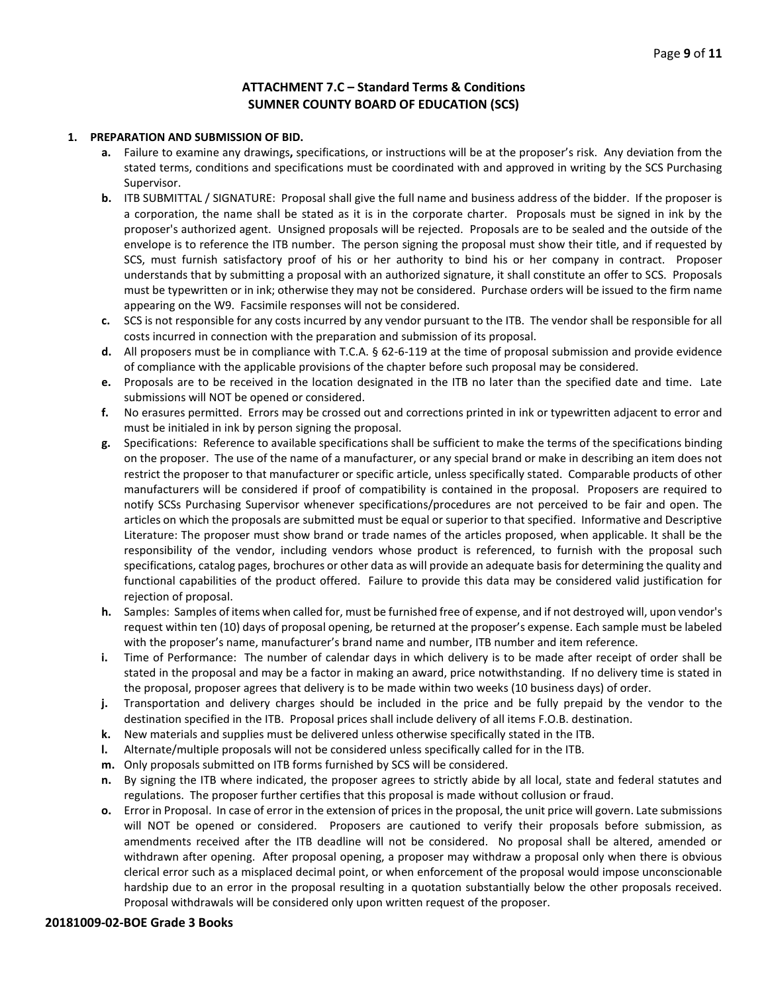## **ATTACHMENT 7.C – Standard Terms & Conditions SUMNER COUNTY BOARD OF EDUCATION (SCS)**

#### **1. PREPARATION AND SUBMISSION OF BID.**

- **a.** Failure to examine any drawings**,** specifications, or instructions will be at the proposer's risk. Any deviation from the stated terms, conditions and specifications must be coordinated with and approved in writing by the SCS Purchasing Supervisor.
- **b.** ITB SUBMITTAL / SIGNATURE: Proposal shall give the full name and business address of the bidder. If the proposer is a corporation, the name shall be stated as it is in the corporate charter. Proposals must be signed in ink by the proposer's authorized agent. Unsigned proposals will be rejected. Proposals are to be sealed and the outside of the envelope is to reference the ITB number. The person signing the proposal must show their title, and if requested by SCS, must furnish satisfactory proof of his or her authority to bind his or her company in contract. Proposer understands that by submitting a proposal with an authorized signature, it shall constitute an offer to SCS. Proposals must be typewritten or in ink; otherwise they may not be considered. Purchase orders will be issued to the firm name appearing on the W9. Facsimile responses will not be considered.
- **c.** SCS is not responsible for any costs incurred by any vendor pursuant to the ITB. The vendor shall be responsible for all costs incurred in connection with the preparation and submission of its proposal.
- **d.** All proposers must be in compliance with T.C.A. § 62-6-119 at the time of proposal submission and provide evidence of compliance with the applicable provisions of the chapter before such proposal may be considered.
- **e.** Proposals are to be received in the location designated in the ITB no later than the specified date and time. Late submissions will NOT be opened or considered.
- **f.** No erasures permitted. Errors may be crossed out and corrections printed in ink or typewritten adjacent to error and must be initialed in ink by person signing the proposal.
- **g.** Specifications: Reference to available specifications shall be sufficient to make the terms of the specifications binding on the proposer. The use of the name of a manufacturer, or any special brand or make in describing an item does not restrict the proposer to that manufacturer or specific article, unless specifically stated. Comparable products of other manufacturers will be considered if proof of compatibility is contained in the proposal. Proposers are required to notify SCSs Purchasing Supervisor whenever specifications/procedures are not perceived to be fair and open. The articles on which the proposals are submitted must be equal or superior to that specified. Informative and Descriptive Literature: The proposer must show brand or trade names of the articles proposed, when applicable. It shall be the responsibility of the vendor, including vendors whose product is referenced, to furnish with the proposal such specifications, catalog pages, brochures or other data as will provide an adequate basis for determining the quality and functional capabilities of the product offered. Failure to provide this data may be considered valid justification for rejection of proposal.
- **h.** Samples: Samples of items when called for, must be furnished free of expense, and if not destroyed will, upon vendor's request within ten (10) days of proposal opening, be returned at the proposer's expense. Each sample must be labeled with the proposer's name, manufacturer's brand name and number, ITB number and item reference.
- **i.** Time of Performance: The number of calendar days in which delivery is to be made after receipt of order shall be stated in the proposal and may be a factor in making an award, price notwithstanding. If no delivery time is stated in the proposal, proposer agrees that delivery is to be made within two weeks (10 business days) of order.
- **j.** Transportation and delivery charges should be included in the price and be fully prepaid by the vendor to the destination specified in the ITB. Proposal prices shall include delivery of all items F.O.B. destination.
- **k.** New materials and supplies must be delivered unless otherwise specifically stated in the ITB.
- **l.** Alternate/multiple proposals will not be considered unless specifically called for in the ITB.
- **m.** Only proposals submitted on ITB forms furnished by SCS will be considered.
- **n.** By signing the ITB where indicated, the proposer agrees to strictly abide by all local, state and federal statutes and regulations. The proposer further certifies that this proposal is made without collusion or fraud.
- **o.** Error in Proposal. In case of error in the extension of prices in the proposal, the unit price will govern. Late submissions will NOT be opened or considered. Proposers are cautioned to verify their proposals before submission, as amendments received after the ITB deadline will not be considered. No proposal shall be altered, amended or withdrawn after opening. After proposal opening, a proposer may withdraw a proposal only when there is obvious clerical error such as a misplaced decimal point, or when enforcement of the proposal would impose unconscionable hardship due to an error in the proposal resulting in a quotation substantially below the other proposals received. Proposal withdrawals will be considered only upon written request of the proposer.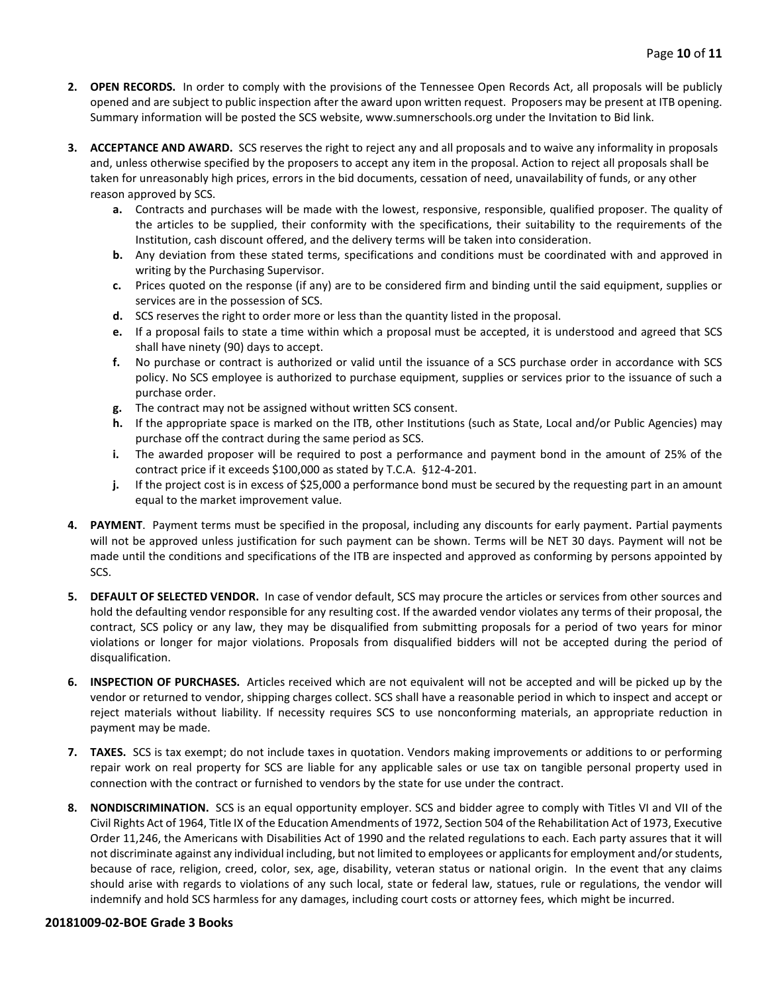- **2. OPEN RECORDS.** In order to comply with the provisions of the Tennessee Open Records Act, all proposals will be publicly opened and are subject to public inspection after the award upon written request. Proposers may be present at ITB opening. Summary information will be posted the SCS website, www.sumnerschools.org under the Invitation to Bid link.
- **3. ACCEPTANCE AND AWARD.** SCS reserves the right to reject any and all proposals and to waive any informality in proposals and, unless otherwise specified by the proposers to accept any item in the proposal. Action to reject all proposals shall be taken for unreasonably high prices, errors in the bid documents, cessation of need, unavailability of funds, or any other reason approved by SCS.
	- **a.** Contracts and purchases will be made with the lowest, responsive, responsible, qualified proposer. The quality of the articles to be supplied, their conformity with the specifications, their suitability to the requirements of the Institution, cash discount offered, and the delivery terms will be taken into consideration.
	- **b.** Any deviation from these stated terms, specifications and conditions must be coordinated with and approved in writing by the Purchasing Supervisor.
	- **c.** Prices quoted on the response (if any) are to be considered firm and binding until the said equipment, supplies or services are in the possession of SCS.
	- **d.** SCS reserves the right to order more or less than the quantity listed in the proposal.
	- **e.** If a proposal fails to state a time within which a proposal must be accepted, it is understood and agreed that SCS shall have ninety (90) days to accept.
	- **f.** No purchase or contract is authorized or valid until the issuance of a SCS purchase order in accordance with SCS policy. No SCS employee is authorized to purchase equipment, supplies or services prior to the issuance of such a purchase order.
	- **g.** The contract may not be assigned without written SCS consent.
	- **h.** If the appropriate space is marked on the ITB, other Institutions (such as State, Local and/or Public Agencies) may purchase off the contract during the same period as SCS.
	- **i.** The awarded proposer will be required to post a performance and payment bond in the amount of 25% of the contract price if it exceeds \$100,000 as stated by T.C.A. §12-4-201.
	- **j.** If the project cost is in excess of \$25,000 a performance bond must be secured by the requesting part in an amount equal to the market improvement value.
- **4. PAYMENT**. Payment terms must be specified in the proposal, including any discounts for early payment. Partial payments will not be approved unless justification for such payment can be shown. Terms will be NET 30 days. Payment will not be made until the conditions and specifications of the ITB are inspected and approved as conforming by persons appointed by SCS.
- **5. DEFAULT OF SELECTED VENDOR.** In case of vendor default, SCS may procure the articles or services from other sources and hold the defaulting vendor responsible for any resulting cost. If the awarded vendor violates any terms of their proposal, the contract, SCS policy or any law, they may be disqualified from submitting proposals for a period of two years for minor violations or longer for major violations. Proposals from disqualified bidders will not be accepted during the period of disqualification.
- **6. INSPECTION OF PURCHASES.** Articles received which are not equivalent will not be accepted and will be picked up by the vendor or returned to vendor, shipping charges collect. SCS shall have a reasonable period in which to inspect and accept or reject materials without liability. If necessity requires SCS to use nonconforming materials, an appropriate reduction in payment may be made.
- **7. TAXES.** SCS is tax exempt; do not include taxes in quotation. Vendors making improvements or additions to or performing repair work on real property for SCS are liable for any applicable sales or use tax on tangible personal property used in connection with the contract or furnished to vendors by the state for use under the contract.
- **8. NONDISCRIMINATION.** SCS is an equal opportunity employer. SCS and bidder agree to comply with Titles VI and VII of the Civil Rights Act of 1964, Title IX of the Education Amendments of 1972, Section 504 of the Rehabilitation Act of 1973, Executive Order 11,246, the Americans with Disabilities Act of 1990 and the related regulations to each. Each party assures that it will not discriminate against any individual including, but not limited to employees or applicants for employment and/or students, because of race, religion, creed, color, sex, age, disability, veteran status or national origin. In the event that any claims should arise with regards to violations of any such local, state or federal law, statues, rule or regulations, the vendor will indemnify and hold SCS harmless for any damages, including court costs or attorney fees, which might be incurred.